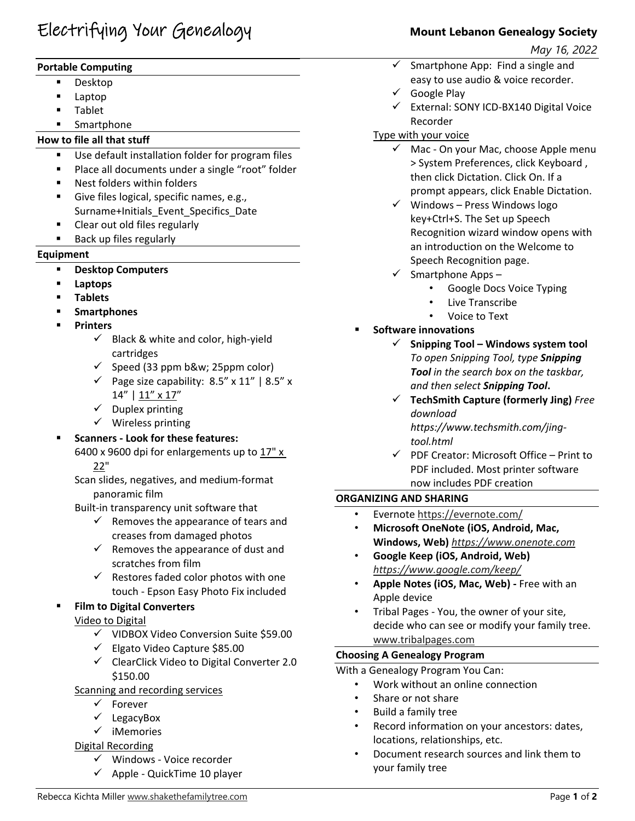# Electrifying Your Genealogy **Mount Lebanon Genealogy Society**

# **Portable Computing**

- Desktop
- Laptop
- Tablet
- Smartphone

# **How to file all that stuff**

- Use default installation folder for program files
- **Place all documents under a single "root" folder**
- Nest folders within folders
- Give files logical, specific names, e.g., Surname+Initials\_Event\_Specifics\_Date
- Clear out old files regularly
- **Back up files regularly**

# **Equipment**

- **Desktop Computers**
- **Laptops**
- **Tablets**
- **Smartphones**
- **Printers**
	- $\checkmark$  Black & white and color, high-yield cartridges
	- $\checkmark$  Speed (33 ppm b&w; 25ppm color)
	- $\checkmark$  Page size capability: 8.5" x 11" | 8.5" x 14" | 11" x 17"
	- $\checkmark$  Duplex printing
	- $\checkmark$  Wireless printing
- **Scanners ‐ Look for these features:** 
	- 6400 x 9600 dpi for enlargements up to 17" x 22"

Scan slides, negatives, and medium‐format panoramic film

Built‐in transparency unit software that

- $\checkmark$  Removes the appearance of tears and creases from damaged photos
- $\checkmark$  Removes the appearance of dust and scratches from film
- $\checkmark$  Restores faded color photos with one touch ‐ Epson Easy Photo Fix included

# **Film to Digital Converters**

Video to Digital

- $\checkmark$  VIDBOX Video Conversion Suite \$59.00
- $\checkmark$  Elgato Video Capture \$85.00
- $\checkmark$  ClearClick Video to Digital Converter 2.0 \$150.00

Scanning and recording services

- Forever
- $\checkmark$  LegacyBox
- $\checkmark$  iMemories

# Digital Recording

- Windows ‐ Voice recorder
- $\checkmark$  Apple QuickTime 10 player

 *May 16, 2022* 

- $\checkmark$  Smartphone App: Find a single and easy to use audio & voice recorder.
- $\checkmark$  Google Play
- External: SONY ICD‐BX140 Digital Voice Recorder

# Type with your voice

- $\checkmark$  Mac On your Mac, choose Apple menu > System Preferences, click Keyboard , then click Dictation. Click On. If a prompt appears, click Enable Dictation.
- $\checkmark$  Windows Press Windows logo key+Ctrl+S. The Set up Speech Recognition wizard window opens with an introduction on the Welcome to Speech Recognition page.
- $\checkmark$  Smartphone Apps
	- Google Docs Voice Typing
	- Live Transcribe
	- Voice to Text
- **Software innovations**
	- **Snipping Tool – Windows system tool** *To open Snipping Tool, type Snipping Tool in the search box on the taskbar, and then select Snipping Tool***.**
	- **TechSmith Capture (formerly Jing)** *Free download https://www.techsmith.com/jing‐ tool.html*
	- $\checkmark$  PDF Creator: Microsoft Office Print to PDF included. Most printer software now includes PDF creation

# **ORGANIZING AND SHARING**

- Evernote https://evernote.com/
- **Microsoft OneNote (iOS, Android, Mac, Windows, Web)** *https://www.onenote.com*
- **Google Keep (iOS, Android, Web)** *https://www.google.com/keep/*
- **Apple Notes (iOS, Mac, Web) ‐** Free with an Apple device
- Tribal Pages ‐ You, the owner of your site, decide who can see or modify your family tree. www.tribalpages.com

# **Choosing A Genealogy Program**

With a Genealogy Program You Can:

- Work without an online connection
- Share or not share
- Build a family tree
- Record information on your ancestors: dates, locations, relationships, etc.
- Document research sources and link them to your family tree